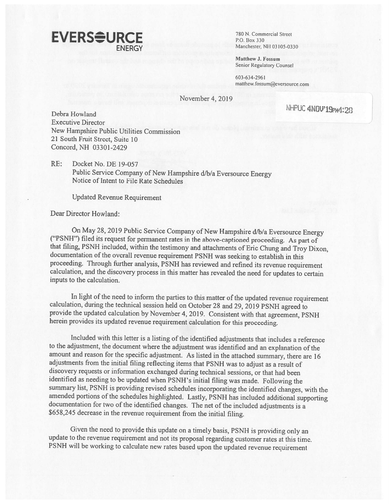

Manchester, NH 03105-0330

Matthew I. Fossum Senior Regulatory Counsel

603-634-2961 matthew.fossum@eversource.com

November 4, 2019

NHPUC 4NDV 19PM4:28 Executive Director New Hampshire Public Utilities Commission 21 South Fruit Street, Suite 10 Concord, NH 03301-2429

RE: Docket No. DE 19-057 Public Service Company of New Hampshire d/b/a Eversource Energy Notice of Intent to File Rate Schedules

Updated Revenue Requirement

Dear Director Howland:

On May 28, 2019 Public Service Company of New Hampshire d/b/a Eversource Energy<br>("PSNH") filed its request for permanent rates in the above-captioned proceeding. As part of<br>that filing, PSNH included, within the testimony calculation, and the discovery process in this matter has revealed the need for updates to certain inputs to the calculation.

In light of the need to inform the parties to this matter of the updated revenue requirement calculation, during the technical session held on October 28 and 29, 2019 PSNH agreed to provide the updated calculation by Novem herein provides its updated revenue requirement calculation for this proceeding.

Included with this letter is a listing of the identified adjustments that includes a reference to the adjustment, the document where the adjustment was identified and an explanation of the amount and reason for the specific adjustment. As listed in the attached summary, there are 16 adjustments from the initial filing reflecting items that PSNH was to adjust as a result of discovery requests or information exchanged during technical sessions, or that had been identified as needing to be updated when PSNH's initial filing was made. Following the summary list, PSNH is providing revised schedules incorporating the identified changes, with the amended portions of the schedules highlighted. Lastly, PSNH has included additional supporting documentation for two of the identified changes. The net of the included adjustments is a \$658,245 decrease in the revenue requirement from the initial filing.

Given the need to provide this update on <sup>a</sup> timely basis, PSNH is providing only an update to the revenue requirement and not its proposal regarding customer rates at this time. PSNH will be working to calculate new rates based upon the updated revenue requirement